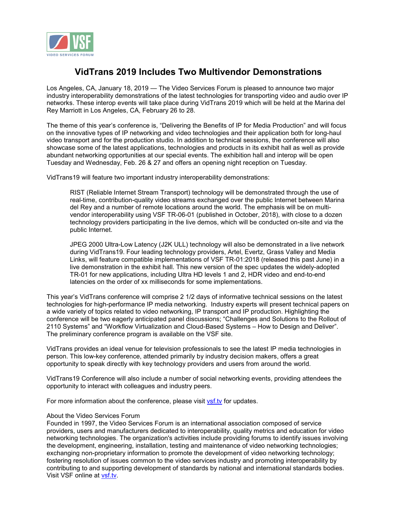

## **VidTrans 2019 Includes Two Multivendor Demonstrations**

Los Angeles, CA, January 18, 2019 — The Video Services Forum is pleased to announce two major industry interoperability demonstrations of the latest technologies for transporting video and audio over IP networks. These interop events will take place during VidTrans 2019 which will be held at the Marina del Rey Marriott in Los Angeles, CA, February 26 to 28.

The theme of this year's conference is, "Delivering the Benefits of IP for Media Production" and will focus on the innovative types of IP networking and video technologies and their application both for long-haul video transport and for the production studio. In addition to technical sessions, the conference will also showcase some of the latest applications, technologies and products in its exhibit hall as well as provide abundant networking opportunities at our special events. The exhibition hall and interop will be open Tuesday and Wednesday, Feb. 26 & 27 and offers an opening night reception on Tuesday.

VidTrans19 will feature two important industry interoperability demonstrations:

RIST (Reliable Internet Stream Transport) technology will be demonstrated through the use of real-time, contribution-quality video streams exchanged over the public Internet between Marina del Rey and a number of remote locations around the world. The emphasis will be on multivendor interoperability using VSF TR-06-01 (published in October, 2018), with close to a dozen technology providers participating in the live demos, which will be conducted on-site and via the public Internet.

JPEG 2000 Ultra-Low Latency (J2K ULL) technology will also be demonstrated in a live network during VidTrans19. Four leading technology providers, Artel, Evertz, Grass Valley and Media Links, will feature compatible implementations of VSF TR-01:2018 (released this past June) in a live demonstration in the exhibit hall. This new version of the spec updates the widely-adopted TR-01 for new applications, including Ultra HD levels 1 and 2, HDR video and end-to-end latencies on the order of xx milliseconds for some implementations.

This year's VidTrans conference will comprise 2 1/2 days of informative technical sessions on the latest technologies for high-performance IP media networking. Industry experts will present technical papers on a wide variety of topics related to video networking, IP transport and IP production. Highlighting the conference will be two eagerly anticipated panel discussions; "Challenges and Solutions to the Rollout of 2110 Systems" and "Workflow Virtualization and Cloud-Based Systems – How to Design and Deliver". The preliminary conference program is available on the VSF site.

VidTrans provides an ideal venue for television professionals to see the latest IP media technologies in person. This low-key conference, attended primarily by industry decision makers, offers a great opportunity to speak directly with key technology providers and users from around the world.

VidTrans19 Conference will also include a number of social networking events, providing attendees the opportunity to interact with colleagues and industry peers.

For more information about the conference, please visit vsf.ty for updates.

## About the Video Services Forum

Founded in 1997, the Video Services Forum is an international association composed of service providers, users and manufacturers dedicated to interoperability, quality metrics and education for video networking technologies. The organization's activities include providing forums to identify issues involving the development, engineering, installation, testing and maintenance of video networking technologies; exchanging non-proprietary information to promote the development of video networking technology; fostering resolution of issues common to the video services industry and promoting interoperability by contributing to and supporting development of standards by national and international standards bodies. Visit VSF online at vsf.tv.